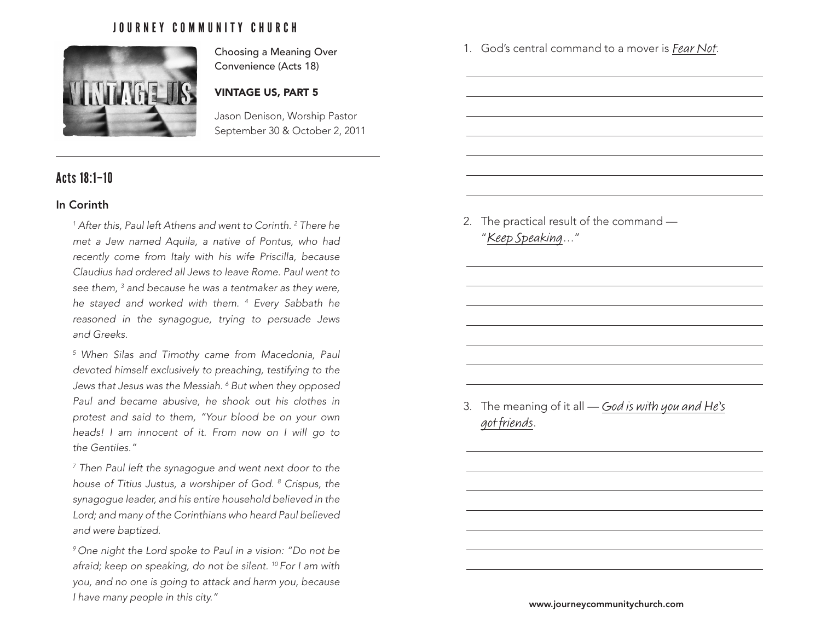## JOURNEY COMMUNITY CHURCH



Choosing a Meaning Over Convenience (Acts 18)

### VINTAGE US, PART 5

Jason Denison, Worship Pastor September 30 & October 2, 2011

# Acts 18:1–10

#### In Corinth

<sup>1</sup> After this, Paul left Athens and went to Corinth.<sup>2</sup> There he *met a Jew named Aquila, a native of Pontus, who had recently come from Italy with his wife Priscilla, because Claudius had ordered all Jews to leave Rome. Paul went to see them, 3 and because he was a tentmaker as they were, he stayed and worked with them. 4 Every Sabbath he reasoned in the synagogue, trying to persuade Jews and Greeks.* 

*5 When Silas and Timothy came from Macedonia, Paul devoted himself exclusively to preaching, testifying to the Jews that Jesus was the Messiah. 6 But when they opposed Paul and became abusive, he shook out his clothes in protest and said to them, "Your blood be on your own heads! I am innocent of it. From now on I will go to the Gentiles."* 

*7 Then Paul left the synagogue and went next door to the house of Titius Justus, a worshiper of God. 8 Crispus, the synagogue leader, and his entire household believed in the Lord; and many of the Corinthians who heard Paul believed and were baptized.* 

*9 One night the Lord spoke to Paul in a vision: "Do not be afraid; keep on speaking, do not be silent. 10 For I am with you, and no one is going to attack and harm you, because I have many people in this city."* www.journeycommunitychurch.com

2. The practical result of the command — "Keep Speaking…"

1. God's central command to a mover is Fear Not.

3. The meaning of it all — God is with you and He's got friends.